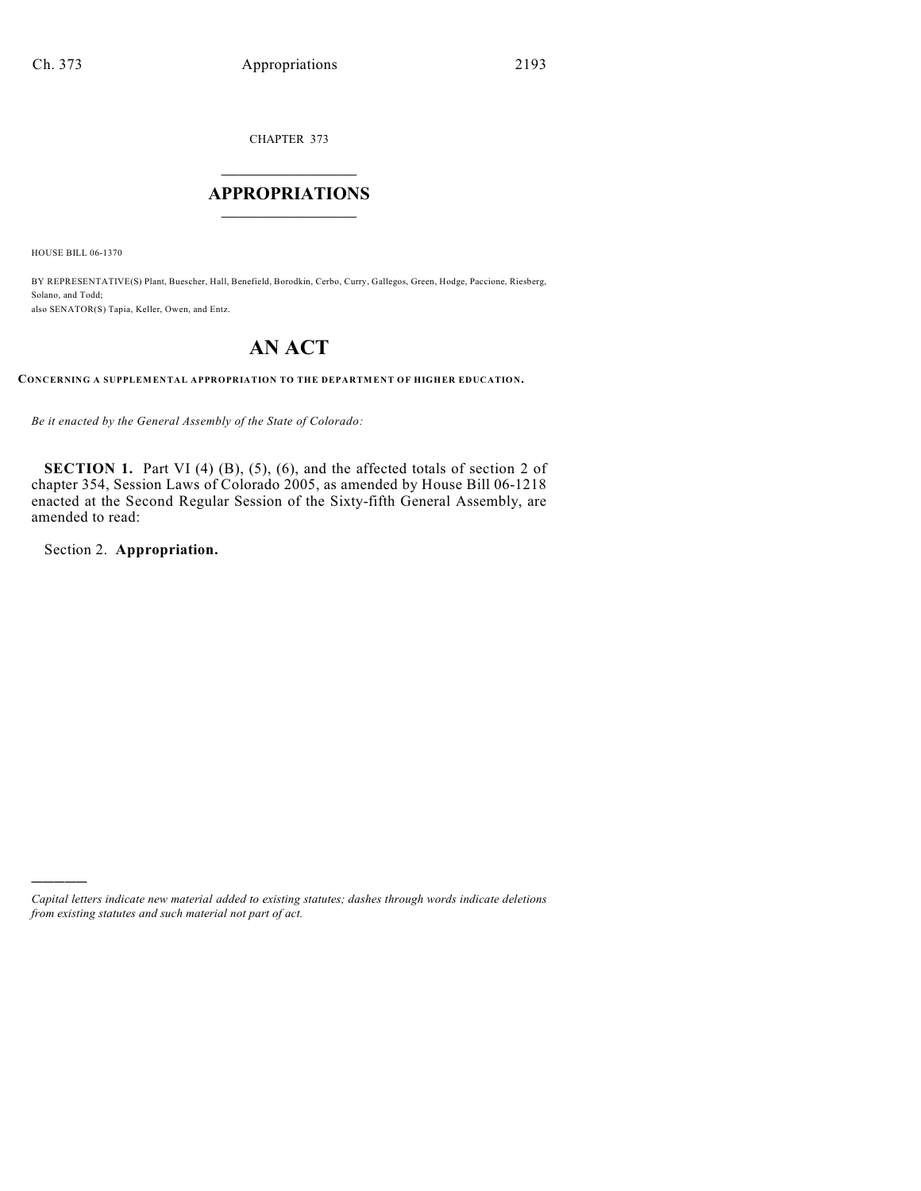CHAPTER 373

## $\overline{\phantom{a}}$  . The set of the set of the set of the set of the set of the set of the set of the set of the set of the set of the set of the set of the set of the set of the set of the set of the set of the set of the set o **APPROPRIATIONS**  $\_$   $\_$   $\_$   $\_$   $\_$   $\_$   $\_$   $\_$

HOUSE BILL 06-1370

BY REPRESENTATIVE(S) Plant, Buescher, Hall, Benefield, Borodkin, Cerbo, Curry, Gallegos, Green, Hodge, Paccione, Riesberg, Solano, and Todd; also SENATOR(S) Tapia, Keller, Owen, and Entz.

# **AN ACT**

**CONCERNING A SUPPLEMENTAL APPROPRIATION TO THE DEPARTMENT OF HIGHER EDUCATION.**

*Be it enacted by the General Assembly of the State of Colorado:*

**SECTION 1.** Part VI (4) (B), (5), (6), and the affected totals of section 2 of chapter 354, Session Laws of Colorado 2005, as amended by House Bill 06-1218 enacted at the Second Regular Session of the Sixty-fifth General Assembly, are amended to read:

Section 2. **Appropriation.**

)))))

*Capital letters indicate new material added to existing statutes; dashes through words indicate deletions from existing statutes and such material not part of act.*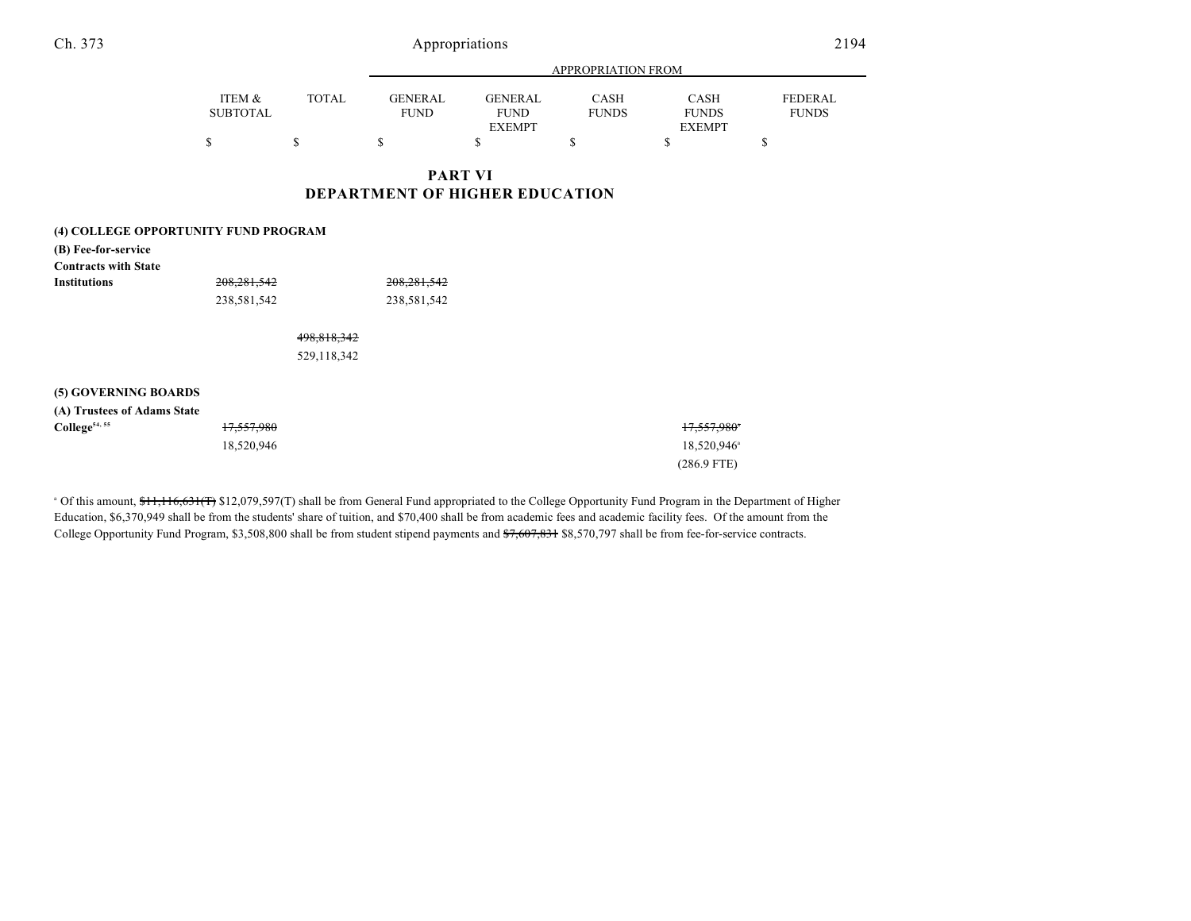18,520,946<sup>a</sup> (286.9 FTE)

|                 |       |             |                | APPROPRIATION FROM |               |              |
|-----------------|-------|-------------|----------------|--------------------|---------------|--------------|
| ITEM &          | TOTAL | GENERAL     | <b>GENERAL</b> | CASH               | <b>CASH</b>   | FEDERAL      |
| <b>SUBTOTAL</b> |       | <b>FUND</b> | <b>FUND</b>    | <b>FUNDS</b>       | <b>FUNDS</b>  | <b>FUNDS</b> |
|                 |       |             | <b>EXEMPT</b>  |                    | <b>EXEMPT</b> |              |
|                 |       |             |                |                    |               |              |

### **PART VI DEPARTMENT OF HIGHER EDUCATION**

#### **(4) COLLEGE OPPORTUNITY FUND PROGRAM**

| (B) Fee-for-service         |               |             |               |               |
|-----------------------------|---------------|-------------|---------------|---------------|
| <b>Contracts with State</b> |               |             |               |               |
| <b>Institutions</b>         | 208, 281, 542 |             | 208, 281, 542 |               |
|                             | 238,581,542   |             | 238,581,542   |               |
|                             |               | 498,818,342 |               |               |
|                             |               | 529,118,342 |               |               |
| (5) GOVERNING BOARDS        |               |             |               |               |
| (A) Trustees of Adams State |               |             |               |               |
| College <sup>54, 55</sup>   | 17,557,980    |             |               | 17,557,980    |
|                             | 18,520,946    |             |               | 18,520,946    |
|                             |               |             |               | $(286.9$ FTE) |

<sup>a</sup> Of this amount, \$11,116,631(T) \$12,079,597(T) shall be from General Fund appropriated to the College Opportunity Fund Program in the Department of Higher Education, \$6,370,949 shall be from the students' share of tuition, and \$70,400 shall be from academic fees and academic facility fees. Of the amount from the College Opportunity Fund Program, \$3,508,800 shall be from student stipend payments and \$7,607,831 \$8,570,797 shall be from fee-for-service contracts.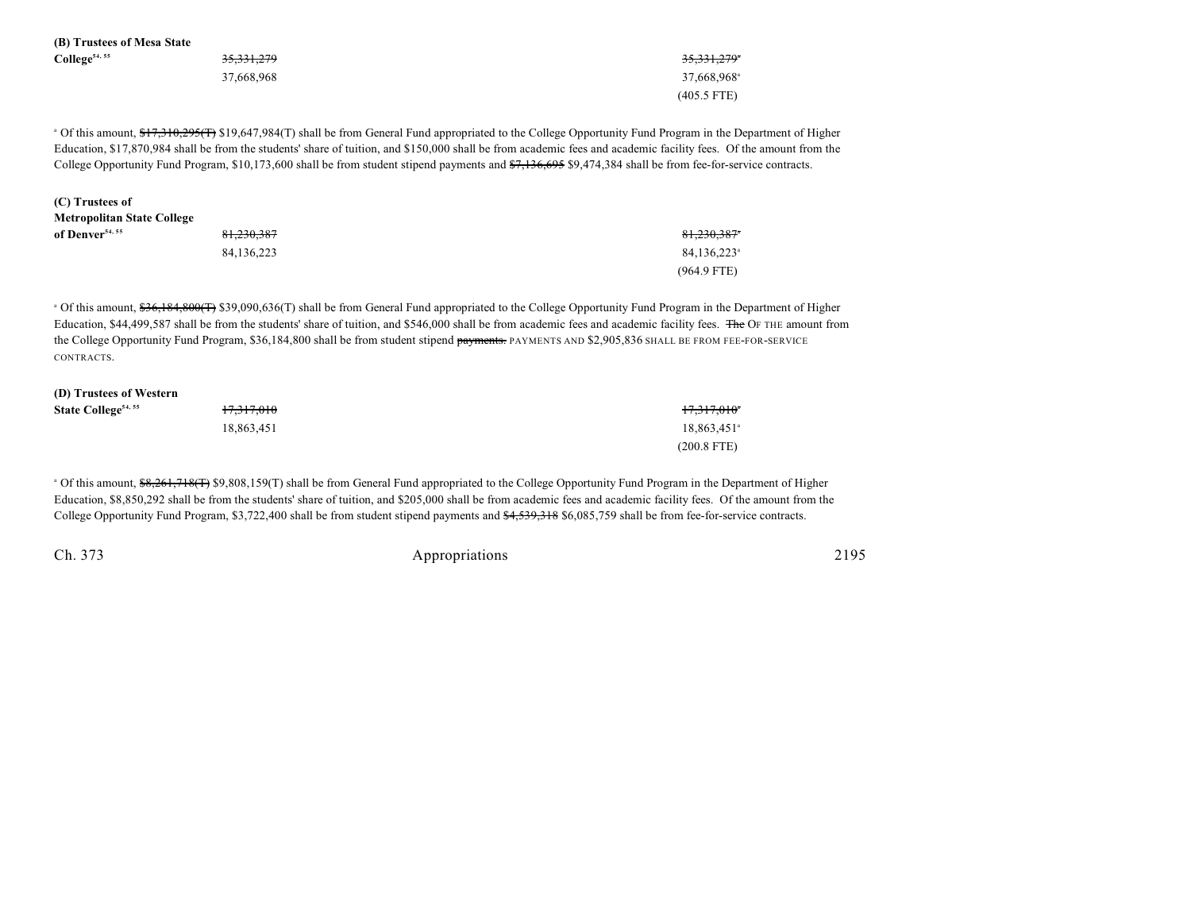| (B) Trustees of Mesa State                                                                                                                                                                                                                                                                                                                                                                                                                                                                                              |                       |                         |  |  |  |
|-------------------------------------------------------------------------------------------------------------------------------------------------------------------------------------------------------------------------------------------------------------------------------------------------------------------------------------------------------------------------------------------------------------------------------------------------------------------------------------------------------------------------|-----------------------|-------------------------|--|--|--|
| College <sup>54, 55</sup>                                                                                                                                                                                                                                                                                                                                                                                                                                                                                               | <del>35,331,279</del> | 35,331,279°             |  |  |  |
|                                                                                                                                                                                                                                                                                                                                                                                                                                                                                                                         | 37,668,968            | 37,668,968 <sup>a</sup> |  |  |  |
|                                                                                                                                                                                                                                                                                                                                                                                                                                                                                                                         |                       | $(405.5$ FTE)           |  |  |  |
| <sup>o</sup> Of this amount, <del>\$17,310,295(T)</del> \$19,647,984(T) shall be from General Fund appropriated to the College Opportunity Fund Program in the Department of Higher<br>Education, \$17,870,984 shall be from the students' share of tuition, and \$150,000 shall be from academic fees and academic facility fees. Of the amount from the<br>College Opportunity Fund Program, \$10,173,600 shall be from student stipend payments and \$7,136,695 \$9,474,384 shall be from fee-for-service contracts. |                       |                         |  |  |  |
| (C) Trustees of                                                                                                                                                                                                                                                                                                                                                                                                                                                                                                         |                       |                         |  |  |  |
| <b>Metropolitan State College</b>                                                                                                                                                                                                                                                                                                                                                                                                                                                                                       |                       |                         |  |  |  |
| of Denver <sup>54, 55</sup>                                                                                                                                                                                                                                                                                                                                                                                                                                                                                             | 81.230.387            | 81.230.387*             |  |  |  |
|                                                                                                                                                                                                                                                                                                                                                                                                                                                                                                                         | 84.136.223            | 84.136.223 <sup>a</sup> |  |  |  |

<sup>a</sup> Of this amount, \$36,184,800(T) \$39,090,636(T) shall be from General Fund appropriated to the College Opportunity Fund Program in the Department of Higher Education, \$44,499,587 shall be from the students' share of tuition, and \$546,000 shall be from academic fees and academic facility fees. The OF THE amount from the College Opportunity Fund Program, \$36,184,800 shall be from student stipend payments. PAYMENTS AND \$2,905,836 SHALL BE FROM FEE-FOR-SERVICE CONTRACTS.

| (D) Trustees of Western         |            |                         |
|---------------------------------|------------|-------------------------|
| State College <sup>54, 55</sup> | 17,317,010 | <del>17,317,010</del> * |
|                                 | 18.863.451 | 18,863,451 <sup>a</sup> |
|                                 |            | $(200.8$ FTE)           |

<sup>a</sup> Of this amount, \$8,261,718(T) \$9,808,159(T) shall be from General Fund appropriated to the College Opportunity Fund Program in the Department of Higher Education, \$8,850,292 shall be from the students' share of tuition, and \$205,000 shall be from academic fees and academic facility fees. Of the amount from the College Opportunity Fund Program, \$3,722,400 shall be from student stipend payments and \$4,539,318 \$6,085,759 shall be from fee-for-service contracts.

Ch. 373 Appropriations 2195

(964.9 FTE)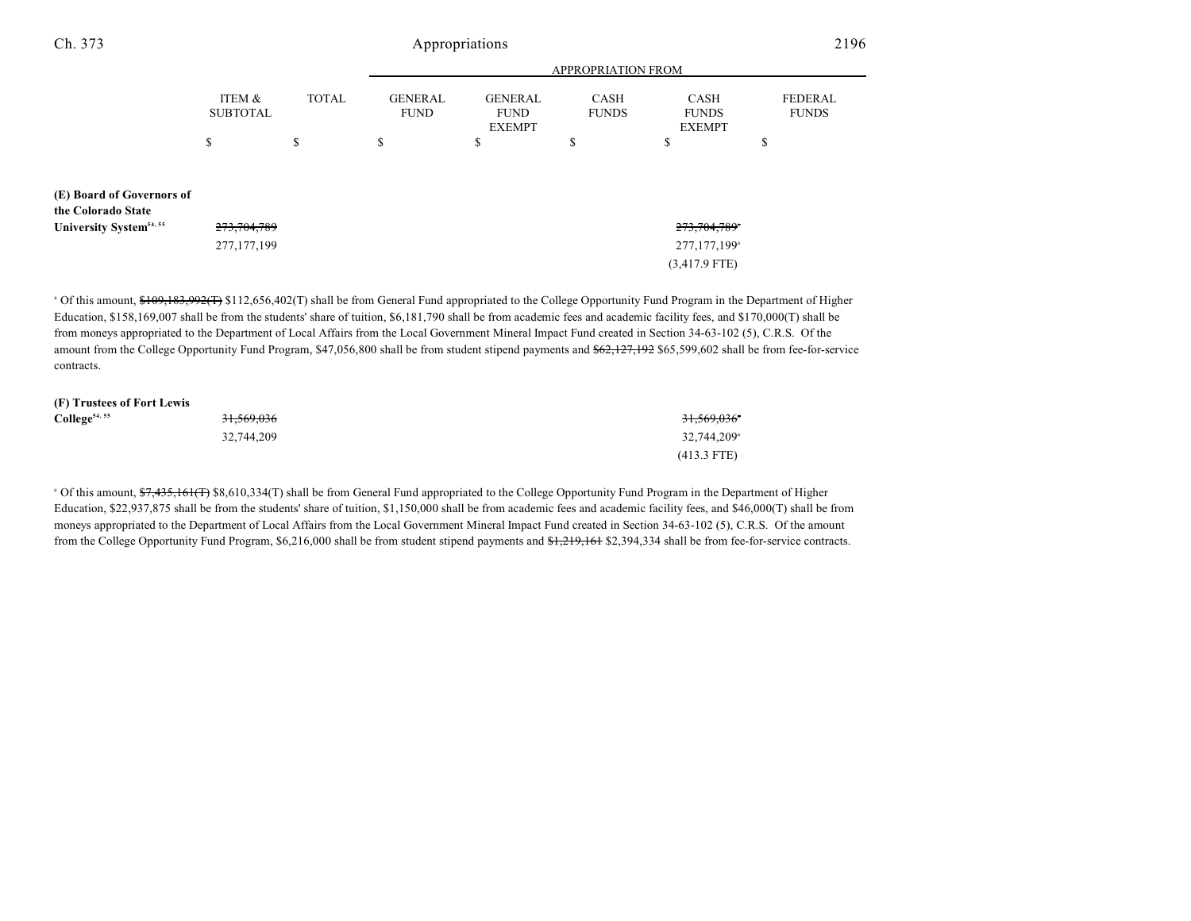| Ch. 373                                         |                           |              |                               | Appropriations                                 |                      |                                              | 2196                           |
|-------------------------------------------------|---------------------------|--------------|-------------------------------|------------------------------------------------|----------------------|----------------------------------------------|--------------------------------|
|                                                 | <b>APPROPRIATION FROM</b> |              |                               |                                                |                      |                                              |                                |
|                                                 | ITEM &<br><b>SUBTOTAL</b> | <b>TOTAL</b> | <b>GENERAL</b><br><b>FUND</b> | <b>GENERAL</b><br><b>FUND</b><br><b>EXEMPT</b> | CASH<br><b>FUNDS</b> | <b>CASH</b><br><b>FUNDS</b><br><b>EXEMPT</b> | <b>FEDERAL</b><br><b>FUNDS</b> |
|                                                 | \$                        | \$           | \$                            | P                                              | \$                   | \$                                           | \$                             |
| (E) Board of Governors of<br>the Colorado State |                           |              |                               |                                                |                      |                                              |                                |
| University System <sup>54, 55</sup>             | 273, 704, 789             |              |                               |                                                |                      | 273,704,789                                  |                                |
|                                                 | 277,177,199               |              |                               |                                                |                      | 277,177,199 <sup>a</sup>                     |                                |
|                                                 |                           |              |                               |                                                |                      | $(3,417.9$ FTE)                              |                                |

<sup>a</sup> Of this amount, \$109,183,992(T) \$112,656,402(T) shall be from General Fund appropriated to the College Opportunity Fund Program in the Department of Higher Education, \$158,169,007 shall be from the students' share of tuition, \$6,181,790 shall be from academic fees and academic facility fees, and \$170,000(T) shall be from moneys appropriated to the Department of Local Affairs from the Local Government Mineral Impact Fund created in Section 34-63-102 (5), C.R.S. Of the amount from the College Opportunity Fund Program, \$47,056,800 shall be from student stipend payments and \$62,127,192 \$65,599,602 shall be from fee-for-service contracts.

| (F) Trustees of Fort Lewis |                       |                         |
|----------------------------|-----------------------|-------------------------|
| $\text{Collect}^{54,55}$   | <del>31,569,036</del> | 31,569,036°             |
|                            | 32,744,209            | 32,744,209 <sup>a</sup> |
|                            |                       | $(413.3$ FTE)           |

<sup>a</sup> Of this amount, \$7,435,161(T) \$8,610,334(T) shall be from General Fund appropriated to the College Opportunity Fund Program in the Department of Higher Education, \$22,937,875 shall be from the students' share of tuition, \$1,150,000 shall be from academic fees and academic facility fees, and \$46,000(T) shall be from moneys appropriated to the Department of Local Affairs from the Local Government Mineral Impact Fund created in Section 34-63-102 (5), C.R.S. Of the amount from the College Opportunity Fund Program, \$6,216,000 shall be from student stipend payments and \$1,219,161 \$2,394,334 shall be from fee-for-service contracts.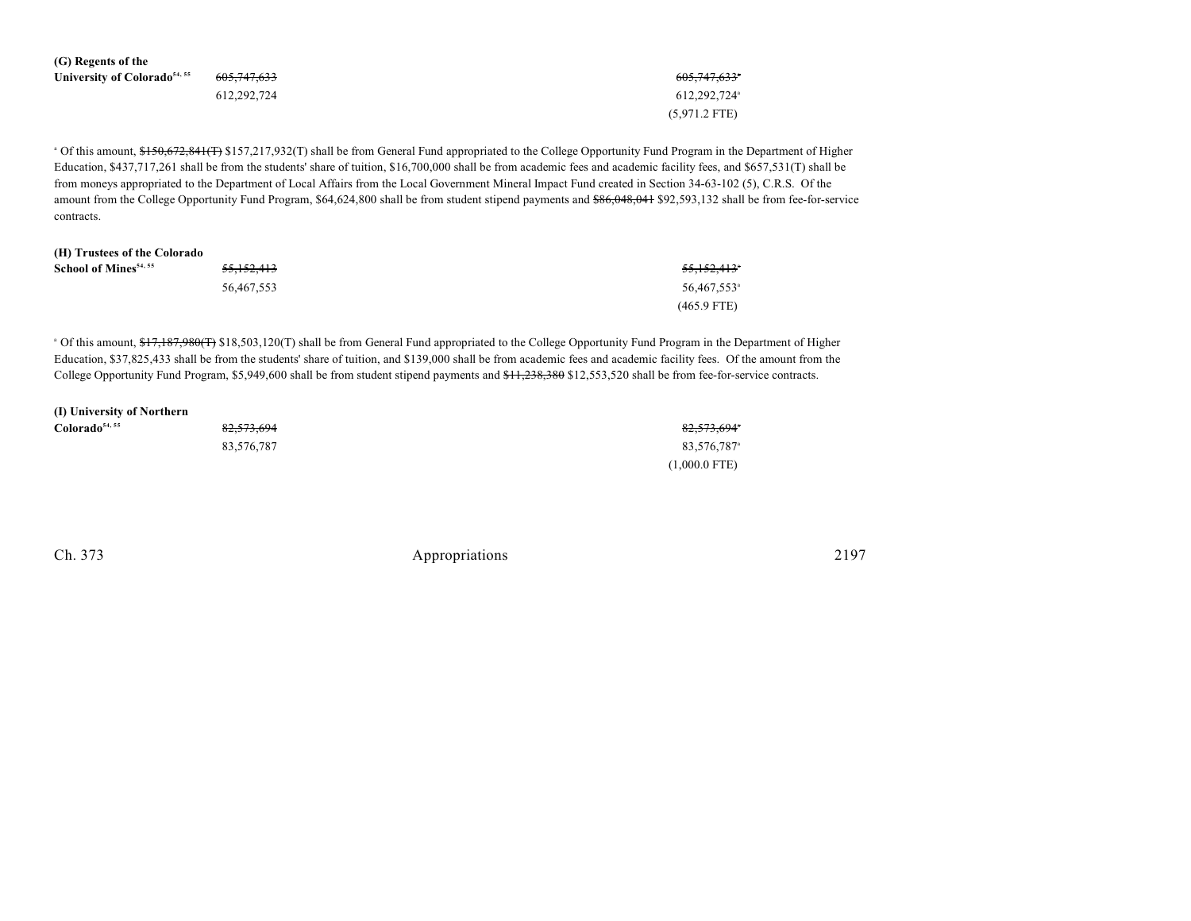| (G) Regents of the                       |                        |                          |
|------------------------------------------|------------------------|--------------------------|
| University of Colorado <sup>54, 55</sup> | <del>605.747.633</del> | <del>605,747,633</del> * |
|                                          | 612.292.724            | 612.292.724              |
|                                          |                        | $(5,971.2$ FTE)          |

<sup>a</sup> Of this amount, \$150,672,841(T) \$157,217,932(T) shall be from General Fund appropriated to the College Opportunity Fund Program in the Department of Higher Education, \$437,717,261 shall be from the students' share of tuition, \$16,700,000 shall be from academic fees and academic facility fees, and \$657,531(T) shall be from moneys appropriated to the Department of Local Affairs from the Local Government Mineral Impact Fund created in Section 34-63-102 (5), C.R.S. Of the amount from the College Opportunity Fund Program, \$64,624,800 shall be from student stipend payments and \$86,048,041 \$92,593,132 shall be from fee-for-service contracts.

| (H) Trustees of the Colorado      |                       |                         |
|-----------------------------------|-----------------------|-------------------------|
| School of Mines <sup>54, 55</sup> | <del>55,152,413</del> | <del>55.152.413</del> * |
|                                   | 56.467.553            | 56,467,553 <sup>a</sup> |
|                                   |                       | $(465.9$ FTE)           |

<sup>a</sup> Of this amount, \$17,187,980(T) \$18,503,120(T) shall be from General Fund appropriated to the College Opportunity Fund Program in the Department of Higher Education, \$37,825,433 shall be from the students' share of tuition, and \$139,000 shall be from academic fees and academic facility fees. Of the amount from the College Opportunity Fund Program, \$5,949,600 shall be from student stipend payments and \$11,238,380 \$12,553,520 shall be from fee-for-service contracts.

| (I) University of Northern |            |                         |
|----------------------------|------------|-------------------------|
| Colorado <sup>54, 55</sup> | 82,573,694 | 82,573,694*             |
|                            | 83,576,787 | 83.576.787 <sup>a</sup> |
|                            |            | $(1,000.0$ FTE)         |

Ch. 373 Appropriations 2197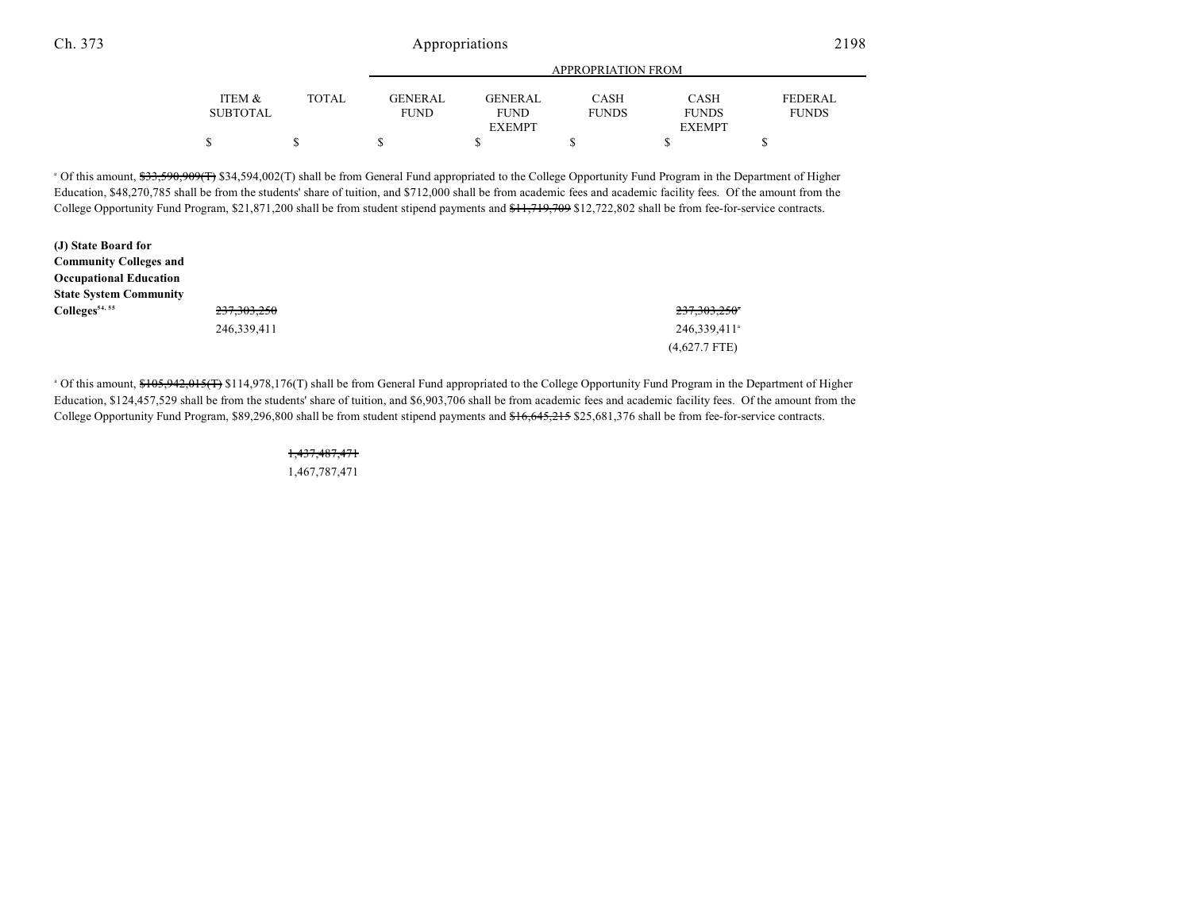### Ch. 373 Appropriations 2198

|                 |       | APPROPRIATION FROM |               |              |               |              |  |
|-----------------|-------|--------------------|---------------|--------------|---------------|--------------|--|
| ITEM &          | TOTAL | GENERAL            | GENERAL       | CASH         | <b>CASH</b>   | FEDERAL      |  |
| <b>SUBTOTAL</b> |       | <b>FUND</b>        | <b>FUND</b>   | <b>FUNDS</b> | <b>FUNDS</b>  | <b>FUNDS</b> |  |
|                 |       |                    | <b>EXEMPT</b> |              | <b>EXEMPT</b> |              |  |
|                 |       |                    |               |              |               |              |  |

<sup>a</sup> Of this amount, \$33,590,909(T) \$34,594,002(T) shall be from General Fund appropriated to the College Opportunity Fund Program in the Department of Higher Education, \$48,270,785 shall be from the students' share of tuition, and \$712,000 shall be from academic fees and academic facility fees. Of the amount from the College Opportunity Fund Program, \$21,871,200 shall be from student stipend payments and \$11,719,709 \$12,722,802 shall be from fee-for-service contracts.

| (J) State Board for           |               |                          |
|-------------------------------|---------------|--------------------------|
| <b>Community Colleges and</b> |               |                          |
| <b>Occupational Education</b> |               |                          |
| <b>State System Community</b> |               |                          |
| Colleges <sup>54, 55</sup>    | 237, 303, 250 | 237,303,250*             |
|                               | 246,339,411   | 246,339,411 <sup>a</sup> |
|                               |               | $(4,627.7$ FTE)          |

<sup>a</sup> Of this amount, \$105,942,015(T) \$114,978,176(T) shall be from General Fund appropriated to the College Opportunity Fund Program in the Department of Higher Education, \$124,457,529 shall be from the students' share of tuition, and \$6,903,706 shall be from academic fees and academic facility fees. Of the amount from the College Opportunity Fund Program, \$89,296,800 shall be from student stipend payments and \$16,645,215 \$25,681,376 shall be from fee-for-service contracts.

# 1,437,487,471

1,467,787,471